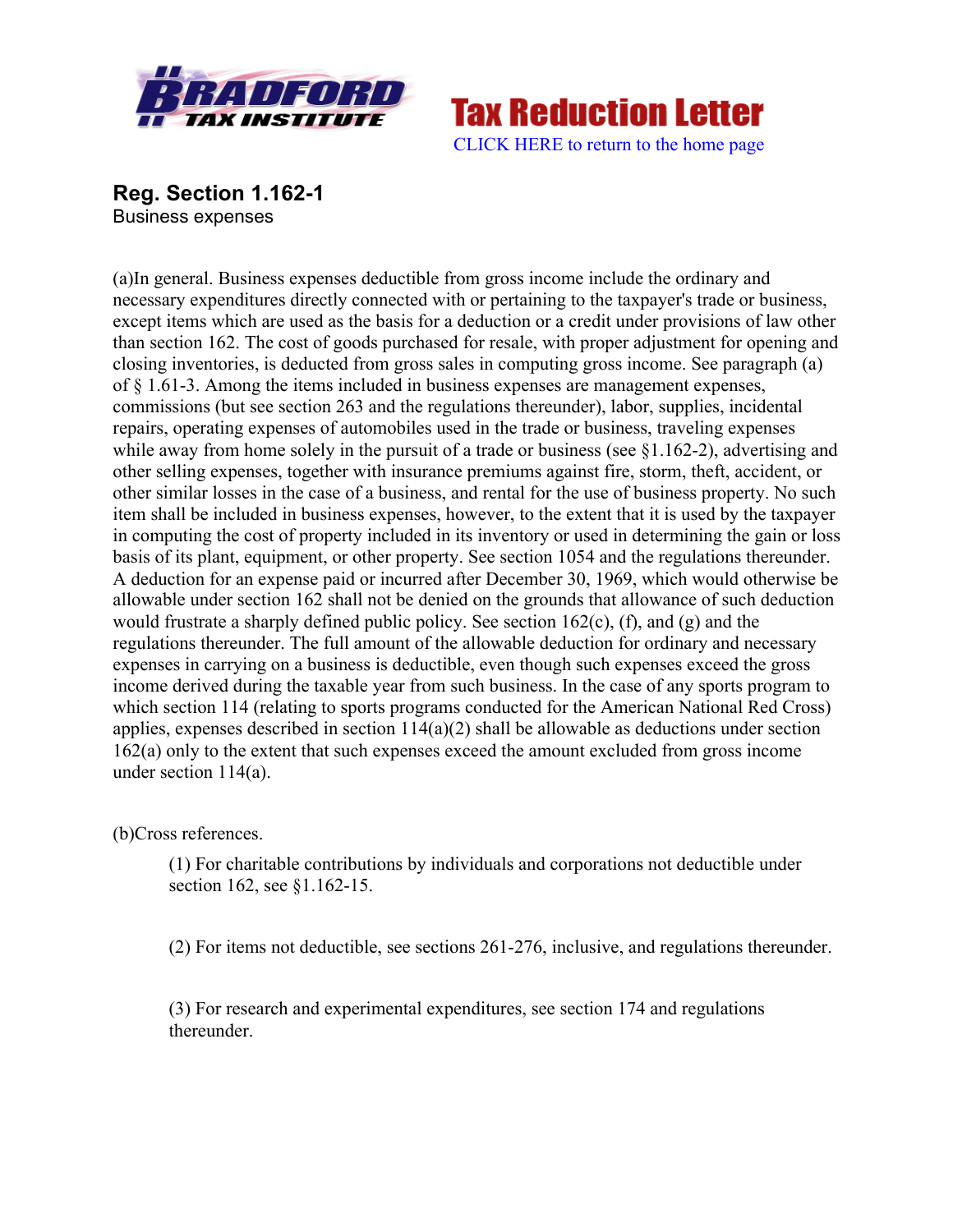



**Reg. Section 1.162-1** Business expenses

(a)In general. Business expenses deductible from gross income include the ordinary and necessary expenditures directly connected with or pertaining to the taxpayer's trade or business, except items which are used as the basis for a deduction or a credit under provisions of law other than section 162. The cost of goods purchased for resale, with proper adjustment for opening and closing inventories, is deducted from gross sales in computing gross income. See paragraph (a) of § 1.61-3. Among the items included in business expenses are management expenses, commissions (but see section 263 and the regulations thereunder), labor, supplies, incidental repairs, operating expenses of automobiles used in the trade or business, traveling expenses while away from home solely in the pursuit of a trade or business (see §1.162-2), advertising and other selling expenses, together with insurance premiums against fire, storm, theft, accident, or other similar losses in the case of a business, and rental for the use of business property. No such item shall be included in business expenses, however, to the extent that it is used by the taxpayer in computing the cost of property included in its inventory or used in determining the gain or loss basis of its plant, equipment, or other property. See section 1054 and the regulations thereunder. A deduction for an expense paid or incurred after December 30, 1969, which would otherwise be allowable under section 162 shall not be denied on the grounds that allowance of such deduction would frustrate a sharply defined public policy. See section  $162(c)$ , (f), and (g) and the regulations thereunder. The full amount of the allowable deduction for ordinary and necessary expenses in carrying on a business is deductible, even though such expenses exceed the gross income derived during the taxable year from such business. In the case of any sports program to which section 114 (relating to sports programs conducted for the American National Red Cross) applies, expenses described in section 114(a)(2) shall be allowable as deductions under section 162(a) only to the extent that such expenses exceed the amount excluded from gross income under section 114(a).

(b)Cross references.

(1) For charitable contributions by individuals and corporations not deductible under section 162, see §1.162-15.

(2) For items not deductible, see sections 261-276, inclusive, and regulations thereunder.

(3) For research and experimental expenditures, see section 174 and regulations thereunder.